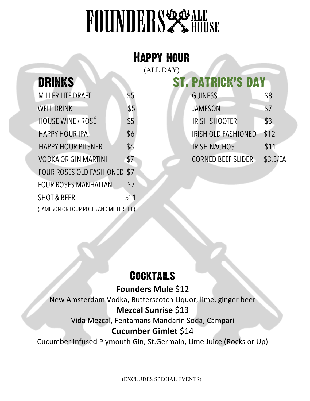## **FOUNDERS & HOUSE**

| <b>HAPPY HOUR</b> |                                 |      |                            |          |  |
|-------------------|---------------------------------|------|----------------------------|----------|--|
| (ALL DAY)         |                                 |      |                            |          |  |
|                   | <b>DRINKS</b>                   |      | <b>ST. PATRICK'S DAY</b>   |          |  |
|                   | <b>MILLER LITE DRAFT</b>        | \$5  | <b>GUINESS</b>             | \$8      |  |
|                   | <b>WELL DRINK</b>               | \$5  | <b>JAMESON</b>             | \$7      |  |
|                   | <b>HOUSE WINE / ROSÉ</b>        | \$5  | <b>IRISH SHOOTER</b>       | \$3      |  |
|                   | <b>HAPPY HOUR IPA</b>           | \$6  | <b>IRISH OLD FASHIONED</b> | \$12     |  |
|                   | <b>HAPPY HOUR PILSNER</b>       | \$6  | <b>IRISH NACHOS</b>        | \$11     |  |
|                   | <b>VODKA OR GIN MARTINI</b>     | \$7  | <b>CORNED BEEF SLIDER</b>  | \$3.5/EA |  |
|                   | <b>FOUR ROSES OLD FASHIONED</b> | \$7  |                            |          |  |
|                   | <b>FOUR ROSES MANHATTAN</b>     | \$7  |                            |          |  |
|                   | <b>SHOT &amp; BEER</b>          | \$11 |                            |          |  |

## **COCKTAILS**

(JAMESON OR FOUR ROSES AND MILLER LITE)

**Founders Mule \$12** 

New Amsterdam Vodka, Butterscotch Liquor, lime, ginger beer

#### **Mezcal Sunrise** \$13

Vida Mezcal, Fentamans Mandarin Soda, Campari

#### **Cucumber Gimlet** \$14

Cucumber Infused Plymouth Gin, St.Germain, Lime Juice (Rocks or Up)

(EXCLUDES SPECIAL EVENTS)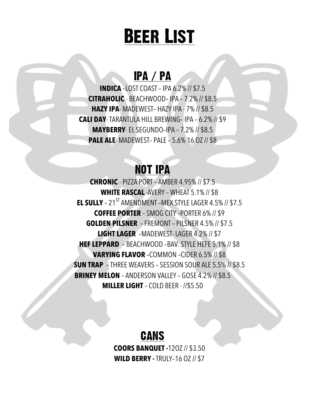## Beer List

## IPA / PA

**INDICA** –LOST COAST – IPA 6.2% // \$7.5 **CITRAHOLIC** - BEACHWOOD– IPA – 7.2% // \$8.5 **HAZY IPA**- MADEWEST– HAZY IPA - 7% // \$8.5 **CALI DAY**- TARANTULA HILL BREWING– IPA – 6.2% // \$9 **MAYBERRY**- EL SEGUNDO–IPA – 7.2% // \$8.5 **PALE ALE**- MADEWEST– PALE – 5.6% 16 OZ// \$8

## NOT IPA

**CHRONIC** - PIZZA PORT – AMBER 4.95% // \$7.5 **WHITE RASCAL** -AVERY – WHEAT 5.1% // \$8 **EL SULLY** – 21<sup>ST</sup> AMENDMENT –MEX STYLE LAGER 4.5% // \$7.5 **COFFEE PORTER** – SMOG CITY –PORTER 6% // \$9 **GOLDEN PILSNER** –FREMONT – PILSNER 4.5% // \$7.5 **LIGHT LAGER** –MADEWEST- LAGER 4.2% // \$7 **HEF LEPPARD** – BEACHWOOD –BAV. STYLE HEFE 5.1% // \$8 **VARYING FLAVOR** –COMMON –CIDER 6.5% // \$8 **SUN TRAP** – THREE WEAVERS – SESSION SOUR ALE 5.5% // \$8.5 **BRINEY MELON** – ANDERSON VALLEY – GOSE 4.2% // \$8.5 **MILLER LIGHT** – COLD BEER - //\$5.50

## **CANS**

**COORS BANQUET -**12OZ // \$3.50 **WILD BERRY -** TRULY–16 OZ // \$7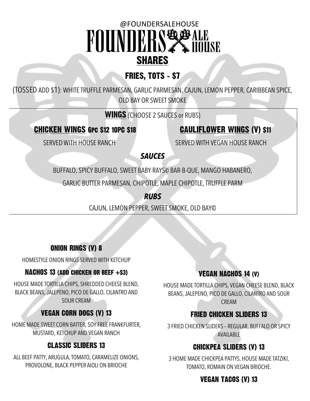## @FOUNDERSALEHOUSE FOUNDERS! **ZA HÖÜSE** SHARES

### FRIES, TOTS - \$7

(TOSSED ADD \$1): WHITE TRUFFLE PARMESAN, GARLIC PARMESAN, CAJUN, LEMON PEPPER, CARIBBEAN SPICE, OLD BAY OR SWEET SMOKE

#### WINGS *(*CHOOSE 2 SAUCES or RUBS)

#### CHICKEN WINGS 6PC \$12 10PC \$18 CAULIFLOWER WINGS (V) \$11

SERVED WITH HOUSE RANCH SERVED WITH VEGAN HOUSE RANCH

#### *SAUCES*

BUFFALO, SPICY BUFFALO, SWEET BABY RAYS© BAR-B-QUE, MANGO HABANERO,

GARLIC BUTTER PARMESAN, CHIPOTLE, MAPLE CHIPOTLE, TRUFFLE PARM

*RUBS*

CAJUN, LEMON PEPPER, SWEET SMOKE, OLD BAY©

#### ONION RINGS (V) 8

HOMESTYLE ONION RINGS SERVED WITH KETCHUP

#### NACHOS 13 (ADD CHICKEN OR BEEF  $+$ \$3)

HOUSE MADE TORTILLA CHIPS, SHREDDED CHEESE BLEND, BLACK BEANS, JALEPENO, PICO DE GALLO, CILANTRO AND SOUR CREAM

#### VEGAN CORN DOGS (V) 13

HOME MADE SWEET CORN BATTER, SOY FREE FRANKFURTER, MUSTARD, KETCHUP AND VEGAN RANCH

#### CLASSIC SLIDERS 13

ALL BEEF PATTY, ARUGULA, TOMATO, CARAMELIZE ONIONS, PROVOLONE, BLACK PEPPER AIOLI ON BRIOCHE

#### **VEGAN NACHOS 14 (V)**

HOUSE MADE TORTILLA CHIPS, VEGAN CHEESE BLEND, BLACK BEANS, JALEPENO, PICO DE GALLO, CILANTRO AND SOUR CREAM

#### FRIED CHICKEN SLIDERS 13

3 FRIED CHICKEN SLIDERS – REGULAR, BUFFALO OR SPICY AVAILABLE

#### CHICKPEA SLIDERS (V) 13

3 HOME MADE CHICKPEA PATTYS, HOUSE MADE TATZIKI, TOMATO, ROMAIN ON VEGAN BRIOCHE.

#### VEGAN TACOS (V) 13